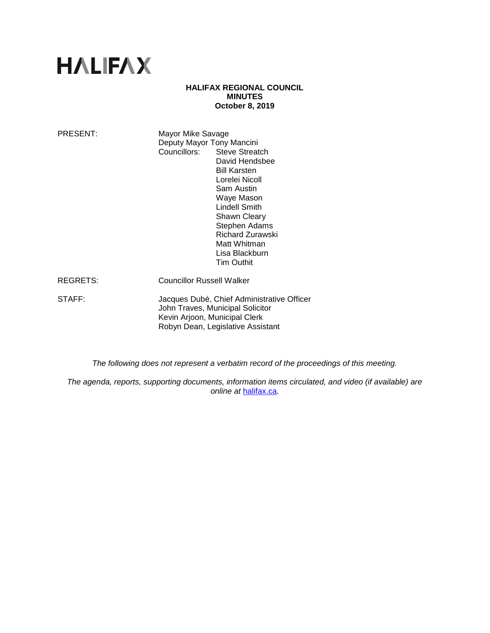# **HALIFAX**

## **HALIFAX REGIONAL COUNCIL MINUTES October 8, 2019**

| PRESENT:        | Mayor Mike Savage<br>Deputy Mayor Tony Mancini                                                                                                                                                                                                                |
|-----------------|---------------------------------------------------------------------------------------------------------------------------------------------------------------------------------------------------------------------------------------------------------------|
|                 | Councillors: Steve Streatch<br>David Hendsbee<br><b>Bill Karsten</b><br>Lorelei Nicoll<br>Sam Austin<br>Waye Mason<br>Lindell Smith<br><b>Shawn Cleary</b><br>Stephen Adams<br><b>Richard Zurawski</b><br>Matt Whitman<br>Lisa Blackburn<br><b>Tim Outhit</b> |
| <b>REGRETS:</b> | <b>Councillor Russell Walker</b>                                                                                                                                                                                                                              |
| STAFF:          | Jacques Dubé, Chief Administrative Officer<br>John Traves, Municipal Solicitor<br>Kevin Arjoon, Municipal Clerk<br>Robyn Dean, Legislative Assistant                                                                                                          |

*The following does not represent a verbatim record of the proceedings of this meeting.*

*The agenda, reports, supporting documents, information items circulated, and video (if available) are online at* [halifax.ca](http://www.halifax.ca/)*.*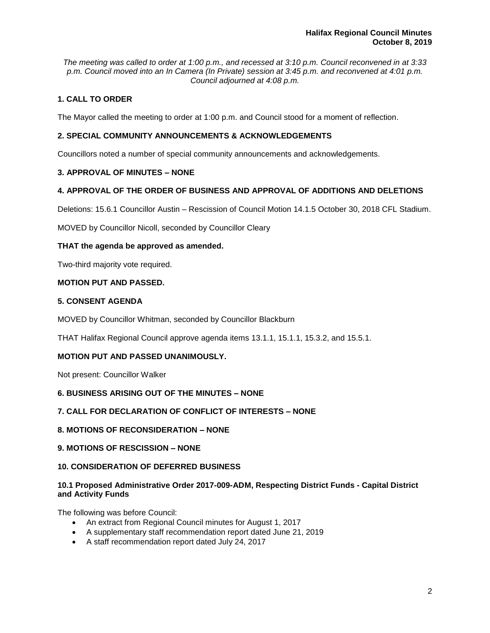*The meeting was called to order at 1:00 p.m., and recessed at 3:10 p.m. Council reconvened in at 3:33 p.m. Council moved into an In Camera (In Private) session at 3:45 p.m. and reconvened at 4:01 p.m. Council adjourned at 4:08 p.m.*

# **1. CALL TO ORDER**

The Mayor called the meeting to order at 1:00 p.m. and Council stood for a moment of reflection.

# **2. SPECIAL COMMUNITY ANNOUNCEMENTS & ACKNOWLEDGEMENTS**

Councillors noted a number of special community announcements and acknowledgements.

# **3. APPROVAL OF MINUTES – NONE**

# **4. APPROVAL OF THE ORDER OF BUSINESS AND APPROVAL OF ADDITIONS AND DELETIONS**

Deletions: 15.6.1 Councillor Austin – Rescission of Council Motion 14.1.5 October 30, 2018 CFL Stadium.

MOVED by Councillor Nicoll, seconded by Councillor Cleary

# **THAT the agenda be approved as amended.**

Two-third majority vote required.

# **MOTION PUT AND PASSED.**

# **5. CONSENT AGENDA**

MOVED by Councillor Whitman, seconded by Councillor Blackburn

THAT Halifax Regional Council approve agenda items 13.1.1, 15.1.1, 15.3.2, and 15.5.1.

# **MOTION PUT AND PASSED UNANIMOUSLY.**

Not present: Councillor Walker

# **6. BUSINESS ARISING OUT OF THE MINUTES – NONE**

# **7. CALL FOR DECLARATION OF CONFLICT OF INTERESTS – NONE**

## **8. MOTIONS OF RECONSIDERATION – NONE**

# **9. MOTIONS OF RESCISSION – NONE**

# **10. CONSIDERATION OF DEFERRED BUSINESS**

# **10.1 Proposed Administrative Order 2017-009-ADM, Respecting District Funds - Capital District and Activity Funds**

The following was before Council:

- An extract from Regional Council minutes for August 1, 2017
- A supplementary staff recommendation report dated June 21, 2019
- A staff recommendation report dated July 24, 2017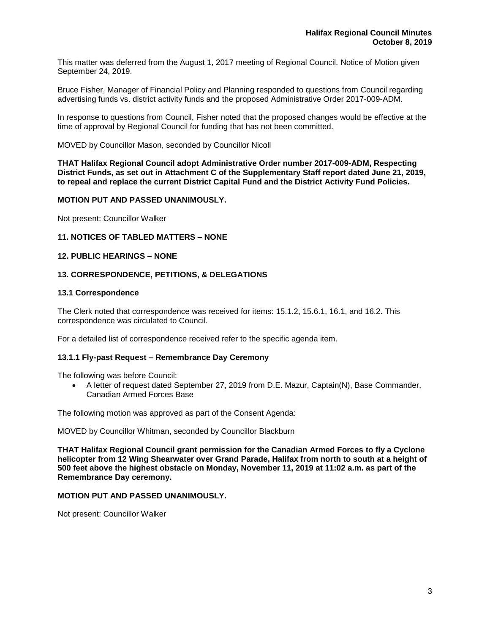This matter was deferred from the August 1, 2017 meeting of Regional Council. Notice of Motion given September 24, 2019.

Bruce Fisher, Manager of Financial Policy and Planning responded to questions from Council regarding advertising funds vs. district activity funds and the proposed Administrative Order 2017-009-ADM.

In response to questions from Council, Fisher noted that the proposed changes would be effective at the time of approval by Regional Council for funding that has not been committed.

MOVED by Councillor Mason, seconded by Councillor Nicoll

**THAT Halifax Regional Council adopt Administrative Order number 2017-009-ADM, Respecting District Funds, as set out in Attachment C of the Supplementary Staff report dated June 21, 2019, to repeal and replace the current District Capital Fund and the District Activity Fund Policies.**

## **MOTION PUT AND PASSED UNANIMOUSLY.**

Not present: Councillor Walker

## **11. NOTICES OF TABLED MATTERS – NONE**

## **12. PUBLIC HEARINGS – NONE**

#### **13. CORRESPONDENCE, PETITIONS, & DELEGATIONS**

#### **13.1 Correspondence**

The Clerk noted that correspondence was received for items: 15.1.2, 15.6.1, 16.1, and 16.2. This correspondence was circulated to Council.

For a detailed list of correspondence received refer to the specific agenda item.

#### **13.1.1 Fly-past Request – Remembrance Day Ceremony**

The following was before Council:

• A letter of request dated September 27, 2019 from D.E. Mazur, Captain(N), Base Commander, Canadian Armed Forces Base

The following motion was approved as part of the Consent Agenda:

MOVED by Councillor Whitman, seconded by Councillor Blackburn

**THAT Halifax Regional Council grant permission for the Canadian Armed Forces to fly a Cyclone helicopter from 12 Wing Shearwater over Grand Parade, Halifax from north to south at a height of 500 feet above the highest obstacle on Monday, November 11, 2019 at 11:02 a.m. as part of the Remembrance Day ceremony.**

#### **MOTION PUT AND PASSED UNANIMOUSLY.**

Not present: Councillor Walker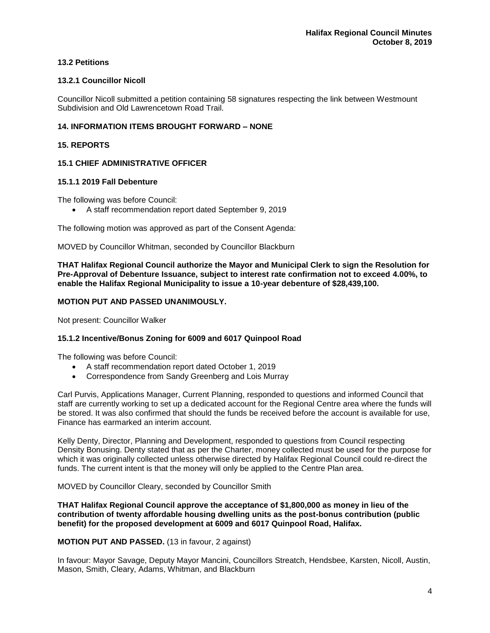# **13.2 Petitions**

# **13.2.1 Councillor Nicoll**

Councillor Nicoll submitted a petition containing 58 signatures respecting the link between Westmount Subdivision and Old Lawrencetown Road Trail.

# **14. INFORMATION ITEMS BROUGHT FORWARD – NONE**

# **15. REPORTS**

# **15.1 CHIEF ADMINISTRATIVE OFFICER**

## **15.1.1 2019 Fall Debenture**

The following was before Council:

• A staff recommendation report dated September 9, 2019

The following motion was approved as part of the Consent Agenda:

MOVED by Councillor Whitman, seconded by Councillor Blackburn

**THAT Halifax Regional Council authorize the Mayor and Municipal Clerk to sign the Resolution for Pre-Approval of Debenture Issuance, subject to interest rate confirmation not to exceed 4.00%, to enable the Halifax Regional Municipality to issue a 10-year debenture of \$28,439,100.**

# **MOTION PUT AND PASSED UNANIMOUSLY.**

Not present: Councillor Walker

# **15.1.2 Incentive/Bonus Zoning for 6009 and 6017 Quinpool Road**

The following was before Council:

- A staff recommendation report dated October 1, 2019
- Correspondence from Sandy Greenberg and Lois Murray

Carl Purvis, Applications Manager, Current Planning, responded to questions and informed Council that staff are currently working to set up a dedicated account for the Regional Centre area where the funds will be stored. It was also confirmed that should the funds be received before the account is available for use, Finance has earmarked an interim account.

Kelly Denty, Director, Planning and Development, responded to questions from Council respecting Density Bonusing. Denty stated that as per the Charter, money collected must be used for the purpose for which it was originally collected unless otherwise directed by Halifax Regional Council could re-direct the funds. The current intent is that the money will only be applied to the Centre Plan area.

MOVED by Councillor Cleary, seconded by Councillor Smith

**THAT Halifax Regional Council approve the acceptance of \$1,800,000 as money in lieu of the contribution of twenty affordable housing dwelling units as the post-bonus contribution (public benefit) for the proposed development at 6009 and 6017 Quinpool Road, Halifax.**

## **MOTION PUT AND PASSED.** (13 in favour, 2 against)

In favour: Mayor Savage, Deputy Mayor Mancini, Councillors Streatch, Hendsbee, Karsten, Nicoll, Austin, Mason, Smith, Cleary, Adams, Whitman, and Blackburn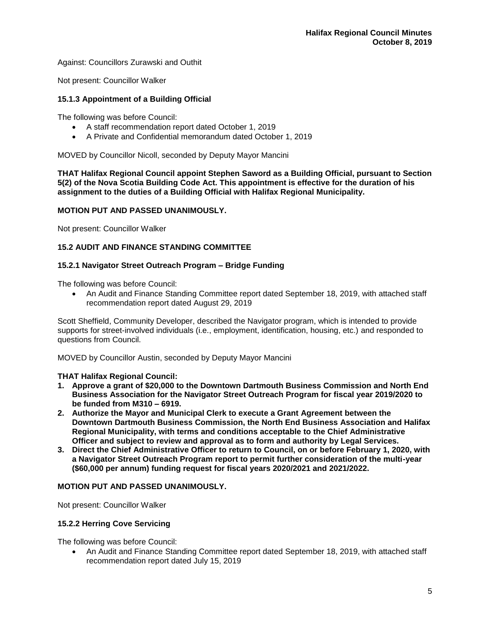Against: Councillors Zurawski and Outhit

Not present: Councillor Walker

# **15.1.3 Appointment of a Building Official**

The following was before Council:

- A staff recommendation report dated October 1, 2019
- A Private and Confidential memorandum dated October 1, 2019

MOVED by Councillor Nicoll, seconded by Deputy Mayor Mancini

**THAT Halifax Regional Council appoint Stephen Saword as a Building Official, pursuant to Section 5(2) of the Nova Scotia Building Code Act. This appointment is effective for the duration of his assignment to the duties of a Building Official with Halifax Regional Municipality.**

# **MOTION PUT AND PASSED UNANIMOUSLY.**

Not present: Councillor Walker

# **15.2 AUDIT AND FINANCE STANDING COMMITTEE**

# **15.2.1 Navigator Street Outreach Program – Bridge Funding**

The following was before Council:

• An Audit and Finance Standing Committee report dated September 18, 2019, with attached staff recommendation report dated August 29, 2019

Scott Sheffield, Community Developer, described the Navigator program, which is intended to provide supports for street-involved individuals (i.e., employment, identification, housing, etc.) and responded to questions from Council.

MOVED by Councillor Austin, seconded by Deputy Mayor Mancini

## **THAT Halifax Regional Council:**

- **1. Approve a grant of \$20,000 to the Downtown Dartmouth Business Commission and North End Business Association for the Navigator Street Outreach Program for fiscal year 2019/2020 to be funded from M310 – 6919.**
- **2. Authorize the Mayor and Municipal Clerk to execute a Grant Agreement between the Downtown Dartmouth Business Commission, the North End Business Association and Halifax Regional Municipality, with terms and conditions acceptable to the Chief Administrative Officer and subject to review and approval as to form and authority by Legal Services.**
- **3. Direct the Chief Administrative Officer to return to Council, on or before February 1, 2020, with a Navigator Street Outreach Program report to permit further consideration of the multi-year (\$60,000 per annum) funding request for fiscal years 2020/2021 and 2021/2022.**

## **MOTION PUT AND PASSED UNANIMOUSLY.**

Not present: Councillor Walker

## **15.2.2 Herring Cove Servicing**

The following was before Council:

• An Audit and Finance Standing Committee report dated September 18, 2019, with attached staff recommendation report dated July 15, 2019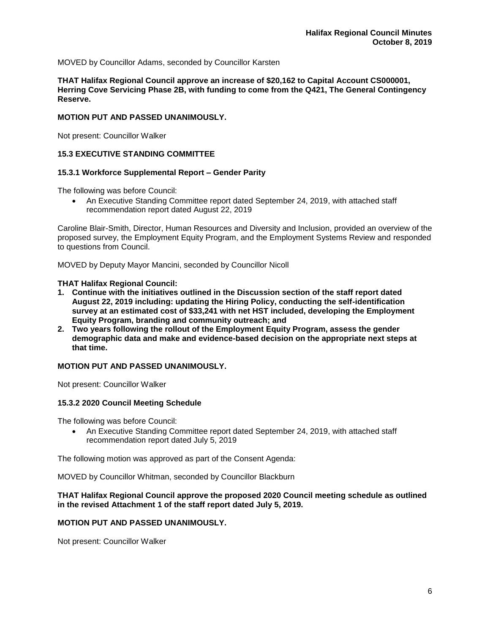MOVED by Councillor Adams, seconded by Councillor Karsten

**THAT Halifax Regional Council approve an increase of \$20,162 to Capital Account CS000001, Herring Cove Servicing Phase 2B, with funding to come from the Q421, The General Contingency Reserve.**

## **MOTION PUT AND PASSED UNANIMOUSLY.**

Not present: Councillor Walker

# **15.3 EXECUTIVE STANDING COMMITTEE**

## **15.3.1 Workforce Supplemental Report – Gender Parity**

The following was before Council:

• An Executive Standing Committee report dated September 24, 2019, with attached staff recommendation report dated August 22, 2019

Caroline Blair-Smith, Director, Human Resources and Diversity and Inclusion, provided an overview of the proposed survey, the Employment Equity Program, and the Employment Systems Review and responded to questions from Council.

MOVED by Deputy Mayor Mancini, seconded by Councillor Nicoll

#### **THAT Halifax Regional Council:**

- **1. Continue with the initiatives outlined in the Discussion section of the staff report dated August 22, 2019 including: updating the Hiring Policy, conducting the self-identification survey at an estimated cost of \$33,241 with net HST included, developing the Employment Equity Program, branding and community outreach; and**
- **2. Two years following the rollout of the Employment Equity Program, assess the gender demographic data and make and evidence-based decision on the appropriate next steps at that time.**

## **MOTION PUT AND PASSED UNANIMOUSLY.**

Not present: Councillor Walker

## **15.3.2 2020 Council Meeting Schedule**

The following was before Council:

• An Executive Standing Committee report dated September 24, 2019, with attached staff recommendation report dated July 5, 2019

The following motion was approved as part of the Consent Agenda:

MOVED by Councillor Whitman, seconded by Councillor Blackburn

## **THAT Halifax Regional Council approve the proposed 2020 Council meeting schedule as outlined in the revised Attachment 1 of the staff report dated July 5, 2019.**

## **MOTION PUT AND PASSED UNANIMOUSLY.**

Not present: Councillor Walker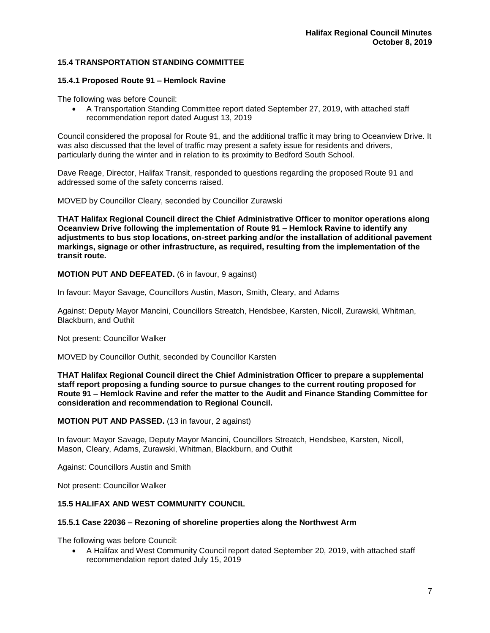# **15.4 TRANSPORTATION STANDING COMMITTEE**

## **15.4.1 Proposed Route 91 – Hemlock Ravine**

The following was before Council:

• A Transportation Standing Committee report dated September 27, 2019, with attached staff recommendation report dated August 13, 2019

Council considered the proposal for Route 91, and the additional traffic it may bring to Oceanview Drive. It was also discussed that the level of traffic may present a safety issue for residents and drivers, particularly during the winter and in relation to its proximity to Bedford South School.

Dave Reage, Director, Halifax Transit, responded to questions regarding the proposed Route 91 and addressed some of the safety concerns raised.

MOVED by Councillor Cleary, seconded by Councillor Zurawski

**THAT Halifax Regional Council direct the Chief Administrative Officer to monitor operations along Oceanview Drive following the implementation of Route 91 – Hemlock Ravine to identify any adjustments to bus stop locations, on-street parking and/or the installation of additional pavement markings, signage or other infrastructure, as required, resulting from the implementation of the transit route.**

**MOTION PUT AND DEFEATED.** (6 in favour, 9 against)

In favour: Mayor Savage, Councillors Austin, Mason, Smith, Cleary, and Adams

Against: Deputy Mayor Mancini, Councillors Streatch, Hendsbee, Karsten, Nicoll, Zurawski, Whitman, Blackburn, and Outhit

Not present: Councillor Walker

MOVED by Councillor Outhit, seconded by Councillor Karsten

**THAT Halifax Regional Council direct the Chief Administration Officer to prepare a supplemental staff report proposing a funding source to pursue changes to the current routing proposed for Route 91 – Hemlock Ravine and refer the matter to the Audit and Finance Standing Committee for consideration and recommendation to Regional Council.**

**MOTION PUT AND PASSED.** (13 in favour, 2 against)

In favour: Mayor Savage, Deputy Mayor Mancini, Councillors Streatch, Hendsbee, Karsten, Nicoll, Mason, Cleary, Adams, Zurawski, Whitman, Blackburn, and Outhit

Against: Councillors Austin and Smith

Not present: Councillor Walker

## **15.5 HALIFAX AND WEST COMMUNITY COUNCIL**

#### **15.5.1 Case 22036 – Rezoning of shoreline properties along the Northwest Arm**

The following was before Council:

• A Halifax and West Community Council report dated September 20, 2019, with attached staff recommendation report dated July 15, 2019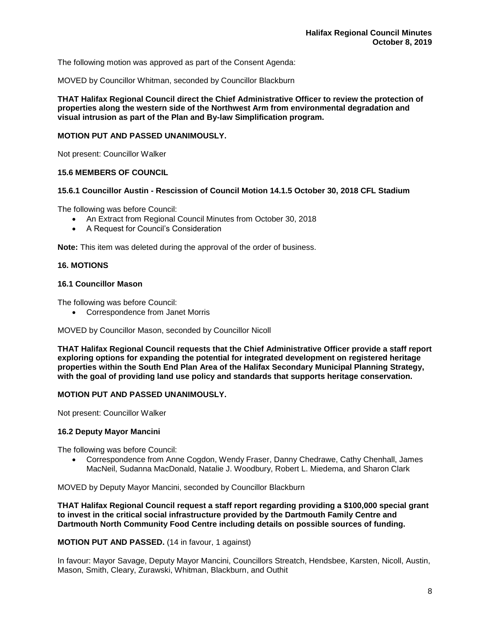The following motion was approved as part of the Consent Agenda:

MOVED by Councillor Whitman, seconded by Councillor Blackburn

**THAT Halifax Regional Council direct the Chief Administrative Officer to review the protection of properties along the western side of the Northwest Arm from environmental degradation and visual intrusion as part of the Plan and By-law Simplification program.**

#### **MOTION PUT AND PASSED UNANIMOUSLY.**

Not present: Councillor Walker

## **15.6 MEMBERS OF COUNCIL**

# **15.6.1 Councillor Austin - Rescission of Council Motion 14.1.5 October 30, 2018 CFL Stadium**

The following was before Council:

- An Extract from Regional Council Minutes from October 30, 2018
- A Request for Council's Consideration

**Note:** This item was deleted during the approval of the order of business.

## **16. MOTIONS**

## **16.1 Councillor Mason**

The following was before Council:

• Correspondence from Janet Morris

MOVED by Councillor Mason, seconded by Councillor Nicoll

**THAT Halifax Regional Council requests that the Chief Administrative Officer provide a staff report exploring options for expanding the potential for integrated development on registered heritage properties within the South End Plan Area of the Halifax Secondary Municipal Planning Strategy, with the goal of providing land use policy and standards that supports heritage conservation.**

## **MOTION PUT AND PASSED UNANIMOUSLY.**

Not present: Councillor Walker

## **16.2 Deputy Mayor Mancini**

The following was before Council:

• Correspondence from Anne Cogdon, Wendy Fraser, Danny Chedrawe, Cathy Chenhall, James MacNeil, Sudanna MacDonald, Natalie J. Woodbury, Robert L. Miedema, and Sharon Clark

MOVED by Deputy Mayor Mancini, seconded by Councillor Blackburn

**THAT Halifax Regional Council request a staff report regarding providing a \$100,000 special grant to invest in the critical social infrastructure provided by the Dartmouth Family Centre and Dartmouth North Community Food Centre including details on possible sources of funding.**

**MOTION PUT AND PASSED.** (14 in favour, 1 against)

In favour: Mayor Savage, Deputy Mayor Mancini, Councillors Streatch, Hendsbee, Karsten, Nicoll, Austin, Mason, Smith, Cleary, Zurawski, Whitman, Blackburn, and Outhit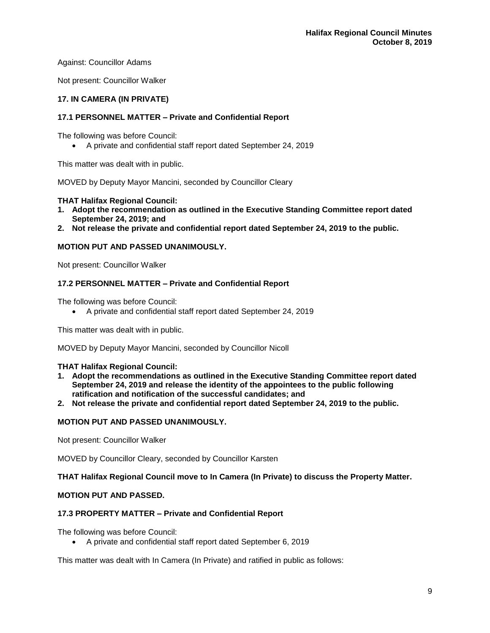Against: Councillor Adams

Not present: Councillor Walker

# **17. IN CAMERA (IN PRIVATE)**

# **17.1 PERSONNEL MATTER – Private and Confidential Report**

The following was before Council:

• A private and confidential staff report dated September 24, 2019

This matter was dealt with in public.

MOVED by Deputy Mayor Mancini, seconded by Councillor Cleary

# **THAT Halifax Regional Council:**

- **1. Adopt the recommendation as outlined in the Executive Standing Committee report dated September 24, 2019; and**
- **2. Not release the private and confidential report dated September 24, 2019 to the public.**

# **MOTION PUT AND PASSED UNANIMOUSLY.**

Not present: Councillor Walker

# **17.2 PERSONNEL MATTER – Private and Confidential Report**

The following was before Council:

• A private and confidential staff report dated September 24, 2019

This matter was dealt with in public.

MOVED by Deputy Mayor Mancini, seconded by Councillor Nicoll

## **THAT Halifax Regional Council:**

- **1. Adopt the recommendations as outlined in the Executive Standing Committee report dated September 24, 2019 and release the identity of the appointees to the public following ratification and notification of the successful candidates; and**
- **2. Not release the private and confidential report dated September 24, 2019 to the public.**

# **MOTION PUT AND PASSED UNANIMOUSLY.**

Not present: Councillor Walker

MOVED by Councillor Cleary, seconded by Councillor Karsten

## **THAT Halifax Regional Council move to In Camera (In Private) to discuss the Property Matter.**

# **MOTION PUT AND PASSED.**

## **17.3 PROPERTY MATTER – Private and Confidential Report**

The following was before Council:

• A private and confidential staff report dated September 6, 2019

This matter was dealt with In Camera (In Private) and ratified in public as follows: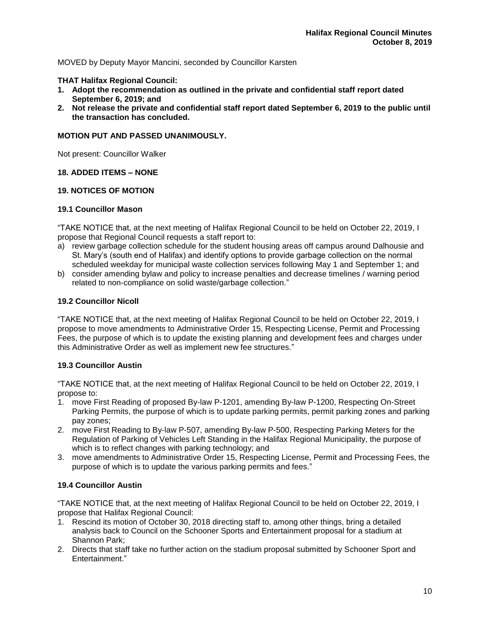MOVED by Deputy Mayor Mancini, seconded by Councillor Karsten

# **THAT Halifax Regional Council:**

- **1. Adopt the recommendation as outlined in the private and confidential staff report dated September 6, 2019; and**
- **2. Not release the private and confidential staff report dated September 6, 2019 to the public until the transaction has concluded.**

## **MOTION PUT AND PASSED UNANIMOUSLY.**

Not present: Councillor Walker

# **18. ADDED ITEMS – NONE**

# **19. NOTICES OF MOTION**

## **19.1 Councillor Mason**

"TAKE NOTICE that, at the next meeting of Halifax Regional Council to be held on October 22, 2019, I propose that Regional Council requests a staff report to:

- a) review garbage collection schedule for the student housing areas off campus around Dalhousie and St. Mary's (south end of Halifax) and identify options to provide garbage collection on the normal scheduled weekday for municipal waste collection services following May 1 and September 1; and
- b) consider amending bylaw and policy to increase penalties and decrease timelines / warning period related to non-compliance on solid waste/garbage collection."

# **19.2 Councillor Nicoll**

"TAKE NOTICE that, at the next meeting of Halifax Regional Council to be held on October 22, 2019, I propose to move amendments to Administrative Order 15, Respecting License, Permit and Processing Fees, the purpose of which is to update the existing planning and development fees and charges under this Administrative Order as well as implement new fee structures."

# **19.3 Councillor Austin**

"TAKE NOTICE that, at the next meeting of Halifax Regional Council to be held on October 22, 2019, I propose to:

- 1. move First Reading of proposed By-law P-1201, amending By-law P-1200, Respecting On-Street Parking Permits, the purpose of which is to update parking permits, permit parking zones and parking pay zones;
- 2. move First Reading to By-law P-507, amending By-law P-500, Respecting Parking Meters for the Regulation of Parking of Vehicles Left Standing in the Halifax Regional Municipality, the purpose of which is to reflect changes with parking technology; and
- 3. move amendments to Administrative Order 15, Respecting License, Permit and Processing Fees, the purpose of which is to update the various parking permits and fees."

# **19.4 Councillor Austin**

"TAKE NOTICE that, at the next meeting of Halifax Regional Council to be held on October 22, 2019, I propose that Halifax Regional Council:

- 1. Rescind its motion of October 30, 2018 directing staff to, among other things, bring a detailed analysis back to Council on the Schooner Sports and Entertainment proposal for a stadium at Shannon Park;
- 2. Directs that staff take no further action on the stadium proposal submitted by Schooner Sport and Entertainment."